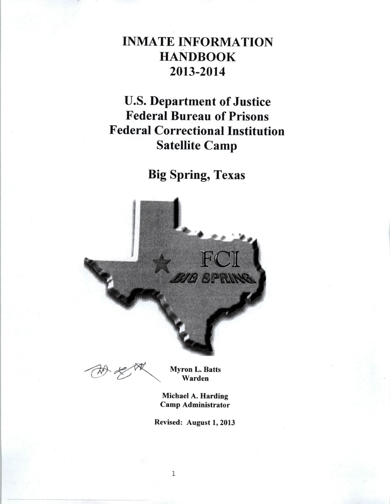# **INMATE INFORMATION HANDBOOK** 2013-2014

**U.S. Department of Justice Federal Bureau of Prisons Federal Correctional Institution Satellite Camp** 

**Big Spring, Texas** 



**Myron L. Batts** Warden

Michael A. Harding **Camp Administrator** 

Revised: August 1, 2013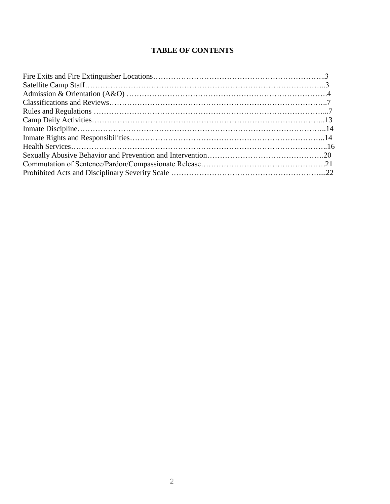# **TABLE OF CONTENTS**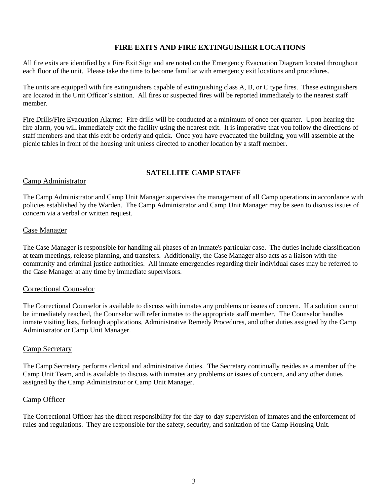### **FIRE EXITS AND FIRE EXTINGUISHER LOCATIONS**

All fire exits are identified by a Fire Exit Sign and are noted on the Emergency Evacuation Diagram located throughout each floor of the unit. Please take the time to become familiar with emergency exit locations and procedures.

The units are equipped with fire extinguishers capable of extinguishing class A, B, or C type fires. These extinguishers are located in the Unit Officer's station. All fires or suspected fires will be reported immediately to the nearest staff member.

Fire Drills/Fire Evacuation Alarms: Fire drills will be conducted at a minimum of once per quarter. Upon hearing the fire alarm, you will immediately exit the facility using the nearest exit. It is imperative that you follow the directions of staff members and that this exit be orderly and quick. Once you have evacuated the building, you will assemble at the picnic tables in front of the housing unit unless directed to another location by a staff member.

### **SATELLITE CAMP STAFF**

### Camp Administrator

The Camp Administrator and Camp Unit Manager supervises the management of all Camp operations in accordance with policies established by the Warden. The Camp Administrator and Camp Unit Manager may be seen to discuss issues of concern via a verbal or written request.

### Case Manager

The Case Manager is responsible for handling all phases of an inmate's particular case. The duties include classification at team meetings, release planning, and transfers. Additionally, the Case Manager also acts as a liaison with the community and criminal justice authorities. All inmate emergencies regarding their individual cases may be referred to the Case Manager at any time by immediate supervisors.

### Correctional Counselor

The Correctional Counselor is available to discuss with inmates any problems or issues of concern. If a solution cannot be immediately reached, the Counselor will refer inmates to the appropriate staff member. The Counselor handles inmate visiting lists, furlough applications, Administrative Remedy Procedures, and other duties assigned by the Camp Administrator or Camp Unit Manager.

### Camp Secretary

The Camp Secretary performs clerical and administrative duties. The Secretary continually resides as a member of the Camp Unit Team, and is available to discuss with inmates any problems or issues of concern, and any other duties assigned by the Camp Administrator or Camp Unit Manager.

#### Camp Officer

The Correctional Officer has the direct responsibility for the day-to-day supervision of inmates and the enforcement of rules and regulations. They are responsible for the safety, security, and sanitation of the Camp Housing Unit.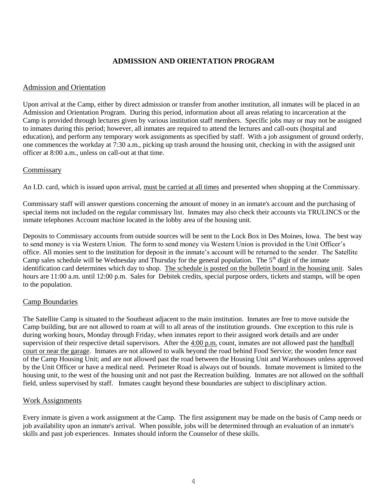### **ADMISSION AND ORIENTATION PROGRAM**

### Admission and Orientation

Upon arrival at the Camp, either by direct admission or transfer from another institution, all inmates will be placed in an Admission and Orientation Program. During this period, information about all areas relating to incarceration at the Camp is provided through lectures given by various institution staff members. Specific jobs may or may not be assigned to inmates during this period; however, all inmates are required to attend the lectures and call-outs (hospital and education), and perform any temporary work assignments as specified by staff. With a job assignment of ground orderly, one commences the workday at 7:30 a.m., picking up trash around the housing unit, checking in with the assigned unit officer at 8:00 a.m., unless on call-out at that time.

### Commissary

An I.D. card, which is issued upon arrival, must be carried at all times and presented when shopping at the Commissary.

Commissary staff will answer questions concerning the amount of money in an inmate's account and the purchasing of special items not included on the regular commissary list. Inmates may also check their accounts via TRULINCS or the inmate telephones Account machine located in the lobby area of the housing unit.

Deposits to Commissary accounts from outside sources will be sent to the Lock Box in Des Moines, Iowa. The best way to send money is via Western Union. The form to send money via Western Union is provided in the Unit Officer's office. All monies sent to the institution for deposit in the inmate's account will be returned to the sender. The Satellite Camp sales schedule will be Wednesday and Thursday for the general population. The  $5<sup>th</sup>$  digit of the inmate identification card determines which day to shop. The schedule is posted on the bulletin board in the housing unit. Sales hours are 11:00 a.m. until 12:00 p.m. Sales for Debitek credits, special purpose orders, tickets and stamps, will be open to the population.

### Camp Boundaries

The Satellite Camp is situated to the Southeast adjacent to the main institution. Inmates are free to move outside the Camp building, but are not allowed to roam at will to all areas of the institution grounds. One exception to this rule is during working hours, Monday through Friday, when inmates report to their assigned work details and are under supervision of their respective detail supervisors. After the 4:00 p.m. count, inmates are not allowed past the handball court or near the garage. Inmates are not allowed to walk beyond the road behind Food Service; the wooden fence east of the Camp Housing Unit; and are not allowed past the road between the Housing Unit and Warehouses unless approved by the Unit Officer or have a medical need. Perimeter Road is always out of bounds. Inmate movement is limited to the housing unit, to the west of the housing unit and not past the Recreation building. Inmates are not allowed on the softball field, unless supervised by staff. Inmates caught beyond these boundaries are subject to disciplinary action.

### Work Assignments

Every inmate is given a work assignment at the Camp. The first assignment may be made on the basis of Camp needs or job availability upon an inmate's arrival. When possible, jobs will be determined through an evaluation of an inmate's skills and past job experiences. Inmates should inform the Counselor of these skills.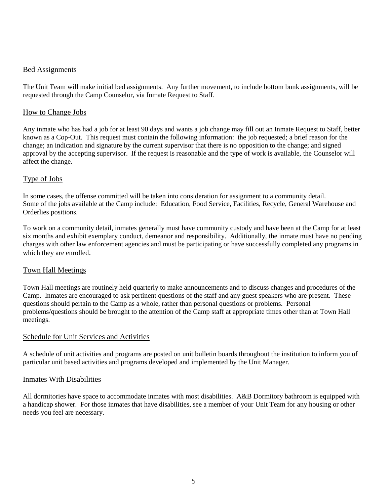### Bed Assignments

The Unit Team will make initial bed assignments. Any further movement, to include bottom bunk assignments, will be requested through the Camp Counselor, via Inmate Request to Staff.

### How to Change Jobs

Any inmate who has had a job for at least 90 days and wants a job change may fill out an Inmate Request to Staff, better known as a Cop-Out. This request must contain the following information: the job requested; a brief reason for the change; an indication and signature by the current supervisor that there is no opposition to the change; and signed approval by the accepting supervisor. If the request is reasonable and the type of work is available, the Counselor will affect the change.

### Type of Jobs

In some cases, the offense committed will be taken into consideration for assignment to a community detail. Some of the jobs available at the Camp include: Education, Food Service, Facilities, Recycle, General Warehouse and Orderlies positions.

To work on a community detail, inmates generally must have community custody and have been at the Camp for at least six months and exhibit exemplary conduct, demeanor and responsibility. Additionally, the inmate must have no pending charges with other law enforcement agencies and must be participating or have successfully completed any programs in which they are enrolled.

### Town Hall Meetings

Town Hall meetings are routinely held quarterly to make announcements and to discuss changes and procedures of the Camp. Inmates are encouraged to ask pertinent questions of the staff and any guest speakers who are present. These questions should pertain to the Camp as a whole, rather than personal questions or problems. Personal problems/questions should be brought to the attention of the Camp staff at appropriate times other than at Town Hall meetings.

### Schedule for Unit Services and Activities

A schedule of unit activities and programs are posted on unit bulletin boards throughout the institution to inform you of particular unit based activities and programs developed and implemented by the Unit Manager.

### Inmates With Disabilities

All dormitories have space to accommodate inmates with most disabilities. A&B Dormitory bathroom is equipped with a handicap shower. For those inmates that have disabilities, see a member of your Unit Team for any housing or other needs you feel are necessary.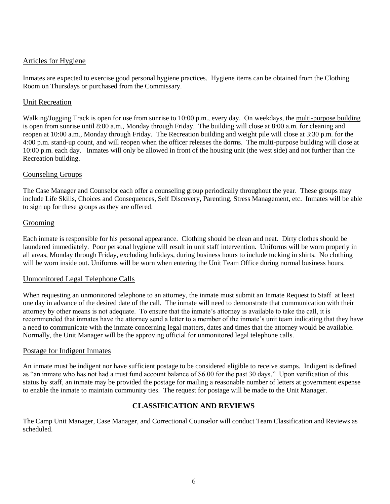### Articles for Hygiene

Inmates are expected to exercise good personal hygiene practices. Hygiene items can be obtained from the Clothing Room on Thursdays or purchased from the Commissary.

### Unit Recreation

Walking/Jogging Track is open for use from sunrise to 10:00 p.m., every day. On weekdays, the multi-purpose building is open from sunrise until 8:00 a.m., Monday through Friday. The building will close at 8:00 a.m. for cleaning and reopen at 10:00 a.m., Monday through Friday. The Recreation building and weight pile will close at 3:30 p.m. for the 4:00 p.m. stand-up count, and will reopen when the officer releases the dorms. The multi-purpose building will close at 10:00 p.m. each day. Inmates will only be allowed in front of the housing unit (the west side) and not further than the Recreation building.

### Counseling Groups

The Case Manager and Counselor each offer a counseling group periodically throughout the year. These groups may include Life Skills, Choices and Consequences, Self Discovery, Parenting, Stress Management, etc. Inmates will be able to sign up for these groups as they are offered.

### Grooming

Each inmate is responsible for his personal appearance. Clothing should be clean and neat. Dirty clothes should be laundered immediately. Poor personal hygiene will result in unit staff intervention. Uniforms will be worn properly in all areas, Monday through Friday, excluding holidays, during business hours to include tucking in shirts. No clothing will be worn inside out. Uniforms will be worn when entering the Unit Team Office during normal business hours.

### Unmonitored Legal Telephone Calls

When requesting an unmonitored telephone to an attorney, the inmate must submit an Inmate Request to Staff at least one day in advance of the desired date of the call. The inmate will need to demonstrate that communication with their attorney by other means is not adequate. To ensure that the inmate's attorney is available to take the call, it is recommended that inmates have the attorney send a letter to a member of the inmate's unit team indicating that they have a need to communicate with the inmate concerning legal matters, dates and times that the attorney would be available. Normally, the Unit Manager will be the approving official for unmonitored legal telephone calls.

### Postage for Indigent Inmates

An inmate must be indigent nor have sufficient postage to be considered eligible to receive stamps. Indigent is defined as "an inmate who has not had a trust fund account balance of \$6.00 for the past 30 days." Upon verification of this status by staff, an inmate may be provided the postage for mailing a reasonable number of letters at government expense to enable the inmate to maintain community ties. The request for postage will be made to the Unit Manager.

### **CLASSIFICATION AND REVIEWS**

The Camp Unit Manager, Case Manager, and Correctional Counselor will conduct Team Classification and Reviews as scheduled.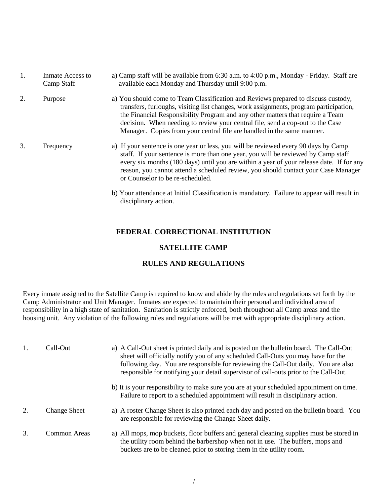| 1. | Inmate Access to<br>Camp Staff | a) Camp staff will be available from 6:30 a.m. to 4:00 p.m., Monday - Friday. Staff are<br>available each Monday and Thursday until 9:00 p.m.                                                                                                                                                                                                                                                                             |
|----|--------------------------------|---------------------------------------------------------------------------------------------------------------------------------------------------------------------------------------------------------------------------------------------------------------------------------------------------------------------------------------------------------------------------------------------------------------------------|
| 2. | Purpose                        | a) You should come to Team Classification and Reviews prepared to discuss custody,<br>transfers, furloughs, visiting list changes, work assignments, program participation,<br>the Financial Responsibility Program and any other matters that require a Team<br>decision. When needing to review your central file, send a cop-out to the Case<br>Manager. Copies from your central file are handled in the same manner. |
| 3. | Frequency                      | a) If your sentence is one year or less, you will be reviewed every 90 days by Camp<br>staff. If your sentence is more than one year, you will be reviewed by Camp staff<br>every six months (180 days) until you are within a year of your release date. If for any<br>reason, you cannot attend a scheduled review, you should contact your Case Manager<br>or Counselor to be re-scheduled.                            |

b) Your attendance at Initial Classification is mandatory. Failure to appear will result in disciplinary action.

### **FEDERAL CORRECTIONAL INSTITUTION**

### **SATELLITE CAMP**

### **RULES AND REGULATIONS**

Every inmate assigned to the Satellite Camp is required to know and abide by the rules and regulations set forth by the Camp Administrator and Unit Manager. Inmates are expected to maintain their personal and individual area of responsibility in a high state of sanitation. Sanitation is strictly enforced, both throughout all Camp areas and the housing unit. Any violation of the following rules and regulations will be met with appropriate disciplinary action.

| 1. | Call-Out            | a) A Call-Out sheet is printed daily and is posted on the bulletin board. The Call-Out<br>sheet will officially notify you of any scheduled Call-Outs you may have for the<br>following day. You are responsible for reviewing the Call-Out daily. You are also<br>responsible for notifying your detail supervisor of call-outs prior to the Call-Out. |
|----|---------------------|---------------------------------------------------------------------------------------------------------------------------------------------------------------------------------------------------------------------------------------------------------------------------------------------------------------------------------------------------------|
|    |                     | b) It is your responsibility to make sure you are at your scheduled appointment on time.<br>Failure to report to a scheduled appointment will result in disciplinary action.                                                                                                                                                                            |
| 2. | <b>Change Sheet</b> | a) A roster Change Sheet is also printed each day and posted on the bulletin board. You<br>are responsible for reviewing the Change Sheet daily.                                                                                                                                                                                                        |
| 3. | Common Areas        | a) All mops, mop buckets, floor buffers and general cleaning supplies must be stored in<br>the utility room behind the barbershop when not in use. The buffers, mops and<br>buckets are to be cleaned prior to storing them in the utility room.                                                                                                        |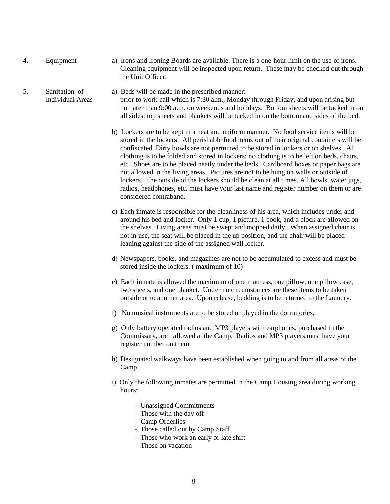- 
- 4. Equipment a) Irons and Ironing Boards are available. There is a one-hour limit on the use of irons. Cleaning equipment will be inspected upon return. These may be checked out through the Unit Officer.
- 5. Sanitation of a) Beds will be made in the prescribed manner: Individual Areas prior to work-call which is 7:30 a.m., Monday through Friday, and upon arising but not later than 9:00 a.m. on weekends and holidays. Bottom sheets will be tucked in on all sides; top sheets and blankets will be tucked in on the bottom and sides of the bed.
	- b) Lockers are to be kept in a neat and uniform manner. No food service items will be stored in the lockers. All perishable food items out of their original containers will be confiscated. Dirty bowls are not permitted to be stored in lockers or on shelves. All clothing is to be folded and stored in lockers; no clothing is to be left on beds, chairs, etc. Shoes are to be placed neatly under the beds. Cardboard boxes or paper bags are not allowed in the living areas. Pictures are not to be hung on walls or outside of lockers. The outside of the lockers should be clean at all times. All bowls, water jugs, radios, headphones, etc. must have your last name and register number on them or are considered contraband.
	- c) Each inmate is responsible for the cleanliness of his area, which includes under and around his bed and locker. Only 1 cup, 1 picture, 1 book, and a clock are allowed on the shelves. Living areas must be swept and mopped daily. When assigned chair is not in use, the seat will be placed in the up position, and the chair will be placed leaning against the side of the assigned wall locker.
	- d) Newspapers, books, and magazines are not to be accumulated to excess and must be stored inside the lockers. ( maximum of 10)
	- e) Each inmate is allowed the maximum of one mattress, one pillow, one pillow case, two sheets, and one blanket. Under no circumstances are these items to be taken outside or to another area. Upon release, bedding is to be returned to the Laundry.
	- f) No musical instruments are to be stored or played in the dormitories.
	- g) Only battery operated radios and MP3 players with earphones, purchased in the Commissary, are allowed at the Camp. Radios and MP3 players must have your register number on them.
	- h) Designated walkways have been established when going to and from all areas of the Camp.
	- i) Only the following inmates are permitted in the Camp Housing area during working hours:
		- Unassigned Commitments
		- Those with the day off
		- Camp Orderlies
		- Those called out by Camp Staff
		- Those who work an early or late shift
		- Those on vacation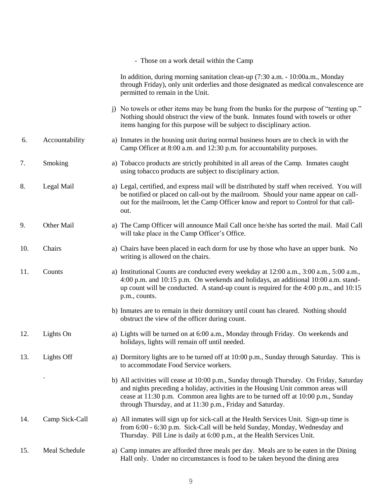|     |                          | - Those on a work detail within the Camp                                                                                                                                                                                                                                                                                       |
|-----|--------------------------|--------------------------------------------------------------------------------------------------------------------------------------------------------------------------------------------------------------------------------------------------------------------------------------------------------------------------------|
|     |                          | In addition, during morning sanitation clean-up (7:30 a.m. - 10:00a.m., Monday<br>through Friday), only unit orderlies and those designated as medical convalescence are<br>permitted to remain in the Unit.                                                                                                                   |
|     |                          | j) No towels or other items may be hung from the bunks for the purpose of "tenting up."<br>Nothing should obstruct the view of the bunk. Inmates found with towels or other<br>items hanging for this purpose will be subject to disciplinary action.                                                                          |
| 6.  | Accountability           | a) Inmates in the housing unit during normal business hours are to check in with the<br>Camp Officer at 8:00 a.m. and 12:30 p.m. for accountability purposes.                                                                                                                                                                  |
| 7.  | Smoking                  | a) Tobacco products are strictly prohibited in all areas of the Camp. Inmates caught<br>using tobacco products are subject to disciplinary action.                                                                                                                                                                             |
| 8.  | Legal Mail               | a) Legal, certified, and express mail will be distributed by staff when received. You will<br>be notified or placed on call-out by the mailroom. Should your name appear on call-<br>out for the mailroom, let the Camp Officer know and report to Control for that call-<br>out.                                              |
| 9.  | Other Mail               | a) The Camp Officer will announce Mail Call once he/she has sorted the mail. Mail Call<br>will take place in the Camp Officer's Office.                                                                                                                                                                                        |
| 10. | Chairs                   | a) Chairs have been placed in each dorm for use by those who have an upper bunk. No<br>writing is allowed on the chairs.                                                                                                                                                                                                       |
| 11. | Counts                   | a) Institutional Counts are conducted every weekday at 12:00 a.m., 3:00 a.m., 5:00 a.m.,<br>4:00 p.m. and 10:15 p.m. On weekends and holidays, an additional 10:00 a.m. stand-<br>up count will be conducted. A stand-up count is required for the $4:00$ p.m., and $10:15$<br>p.m., counts.                                   |
|     |                          | b) Inmates are to remain in their dormitory until count has cleared. Nothing should<br>obstruct the view of the officer during count.                                                                                                                                                                                          |
| 12. | Lights On                | a) Lights will be turned on at 6:00 a.m., Monday through Friday. On weekends and<br>holidays, lights will remain off until needed.                                                                                                                                                                                             |
| 13. | Lights Off               | a) Dormitory lights are to be turned off at 10:00 p.m., Sunday through Saturday. This is<br>to accommodate Food Service workers.                                                                                                                                                                                               |
|     | $\overline{\phantom{0}}$ | b) All activities will cease at 10:00 p.m., Sunday through Thursday. On Friday, Saturday<br>and nights preceding a holiday, activities in the Housing Unit common areas will<br>cease at 11:30 p.m. Common area lights are to be turned off at 10:00 p.m., Sunday<br>through Thursday, and at 11:30 p.m., Friday and Saturday. |
| 14. | Camp Sick-Call           | a) All inmates will sign up for sick-call at the Health Services Unit. Sign-up time is<br>from 6:00 - 6:30 p.m. Sick-Call will be held Sunday, Monday, Wednesday and<br>Thursday. Pill Line is daily at 6:00 p.m., at the Health Services Unit.                                                                                |
| 15. | Meal Schedule            | a) Camp inmates are afforded three meals per day. Meals are to be eaten in the Dining<br>Hall only. Under no circumstances is food to be taken beyond the dining area                                                                                                                                                          |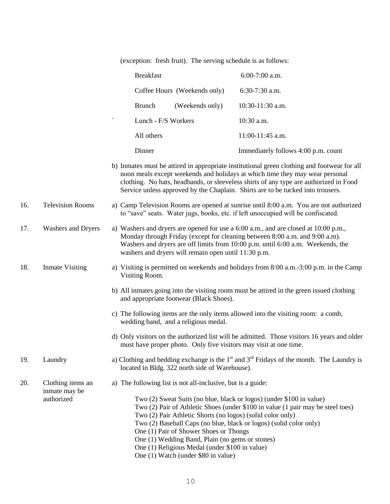(exception: fresh fruit). The serving schedule is as follows:

|     |                                    | <b>Breakfast</b>                                                                                                                                                                                                                                                                                                                                                                               | 6:00-7:00 a.m.                                                                                                                                                                                                                                                       |
|-----|------------------------------------|------------------------------------------------------------------------------------------------------------------------------------------------------------------------------------------------------------------------------------------------------------------------------------------------------------------------------------------------------------------------------------------------|----------------------------------------------------------------------------------------------------------------------------------------------------------------------------------------------------------------------------------------------------------------------|
|     |                                    | Coffee Hours (Weekends only)                                                                                                                                                                                                                                                                                                                                                                   | 6:30-7:30 a.m.                                                                                                                                                                                                                                                       |
|     |                                    | <b>Brunch</b><br>(Weekends only)                                                                                                                                                                                                                                                                                                                                                               | 10:30-11:30 a.m.                                                                                                                                                                                                                                                     |
|     |                                    | Lunch - F/S Workers                                                                                                                                                                                                                                                                                                                                                                            | 10:30 a.m.                                                                                                                                                                                                                                                           |
|     |                                    | All others                                                                                                                                                                                                                                                                                                                                                                                     | 11:00-11:45 a.m.                                                                                                                                                                                                                                                     |
|     |                                    | Dinner                                                                                                                                                                                                                                                                                                                                                                                         | Immediately follows 4:00 p.m. count                                                                                                                                                                                                                                  |
|     |                                    | Service unless approved by the Chaplain. Shirts are to be tucked into trousers.                                                                                                                                                                                                                                                                                                                | b) Inmates must be attired in appropriate institutional green clothing and footwear for all<br>noon meals except weekends and holidays at which time they may wear personal<br>clothing. No hats, headbands, or sleeveless shirts of any type are authorized in Food |
| 16. | <b>Television Rooms</b>            | to "save" seats. Water jugs, books, etc. if left unoccupied will be confiscated.                                                                                                                                                                                                                                                                                                               | a) Camp Television Rooms are opened at sunrise until 8:00 a.m. You are not authorized                                                                                                                                                                                |
| 17. | <b>Washers and Dryers</b>          | a) Washers and dryers are opened for use a 6:00 a.m., and are closed at 10:00 p.m.,<br>Monday through Friday (except for cleaning between 8:00 a.m. and 9:00 a.m).<br>washers and dryers will remain open until 11:30 p.m.                                                                                                                                                                     | Washers and dryers are off limits from 10:00 p.m. until 6:00 a.m. Weekends, the                                                                                                                                                                                      |
| 18. | <b>Inmate Visiting</b>             | Visiting Room.                                                                                                                                                                                                                                                                                                                                                                                 | a) Visiting is permitted on weekends and holidays from 8:00 a.m. -3:00 p.m. in the Camp                                                                                                                                                                              |
|     |                                    | and appropriate footwear (Black Shoes).                                                                                                                                                                                                                                                                                                                                                        | b) All inmates going into the visiting room must be attired in the green issued clothing                                                                                                                                                                             |
|     |                                    | c) The following items are the only items allowed into the visiting room: a comb,<br>wedding band, and a religious medal.                                                                                                                                                                                                                                                                      |                                                                                                                                                                                                                                                                      |
|     |                                    | must have proper photo. Only five visitors may visit at one time.                                                                                                                                                                                                                                                                                                                              | d) Only visitors on the authorized list will be admitted. Those visitors 16 years and older                                                                                                                                                                          |
| 19. | Laundry                            | located in Bldg. 322 north side of Warehouse).                                                                                                                                                                                                                                                                                                                                                 | a) Clothing and bedding exchange is the $1st$ and $3rd$ Fridays of the month. The Laundry is                                                                                                                                                                         |
| 20. | Clothing items an<br>inmate may be | a) The following list is not all-inclusive, but is a guide:                                                                                                                                                                                                                                                                                                                                    |                                                                                                                                                                                                                                                                      |
|     | authorized                         | Two (2) Sweat Suits (no blue, black or logos) (under \$100 in value)<br>Two (2) Pair Athletic Shorts (no logos) (solid color only)<br>Two (2) Baseball Caps (no blue, black or logos) (solid color only)<br>One (1) Pair of Shower Shoes or Thongs<br>One (1) Wedding Band, Plain (no gems or stones)<br>One (1) Religious Medal (under \$100 in value)<br>One (1) Watch (under \$80 in value) | Two (2) Pair of Athletic Shoes (under \$100 in value (1 pair may be steel toes)                                                                                                                                                                                      |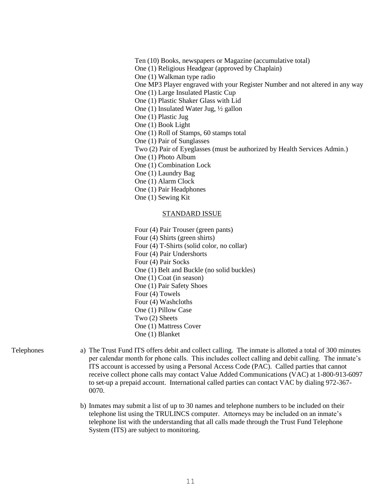Ten (10) Books, newspapers or Magazine (accumulative total) One (1) Religious Headgear (approved by Chaplain) One (1) Walkman type radio One MP3 Player engraved with your Register Number and not altered in any way One (1) Large Insulated Plastic Cup One (1) Plastic Shaker Glass with Lid One (1) Insulated Water Jug, ½ gallon One (1) Plastic Jug One (1) Book Light One (1) Roll of Stamps, 60 stamps total One (1) Pair of Sunglasses Two (2) Pair of Eyeglasses (must be authorized by Health Services Admin.) One (1) Photo Album One (1) Combination Lock One (1) Laundry Bag One (1) Alarm Clock One (1) Pair Headphones One (1) Sewing Kit STANDARD ISSUE Four (4) Pair Trouser (green pants) Four (4) Shirts (green shirts) Four (4) T-Shirts (solid color, no collar) Four (4) Pair Undershorts Four (4) Pair Socks One (1) Belt and Buckle (no solid buckles)

- 
- One (1) Coat (in season) One (1) Pair Safety Shoes
- Four (4) Towels
- Four (4) Washcloths
- One (1) Pillow Case
- Two (2) Sheets
- One (1) Mattress Cover One (1) Blanket

- 
- 21. Telephones a) The Trust Fund ITS offers debit and collect calling. The inmate is allotted a total of 300 minutes per calendar month for phone calls. This includes collect calling and debit calling. The inmate's ITS account is accessed by using a Personal Access Code (PAC). Called parties that cannot receive collect phone calls may contact Value Added Communications (VAC) at 1-800-913-6097 to set-up a prepaid account. International called parties can contact VAC by dialing 972-367- 0070.
	- b) Inmates may submit a list of up to 30 names and telephone numbers to be included on their telephone list using the TRULINCS computer. Attorneys may be included on an inmate's telephone list with the understanding that all calls made through the Trust Fund Telephone System (ITS) are subject to monitoring.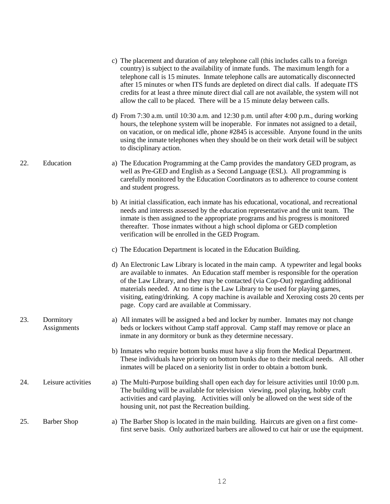|     |                          | c) The placement and duration of any telephone call (this includes calls to a foreign<br>country) is subject to the availability of inmate funds. The maximum length for a<br>telephone call is 15 minutes. Inmate telephone calls are automatically disconnected<br>after 15 minutes or when ITS funds are depleted on direct dial calls. If adequate ITS<br>credits for at least a three minute direct dial call are not available, the system will not<br>allow the call to be placed. There will be a 15 minute delay between calls. |
|-----|--------------------------|------------------------------------------------------------------------------------------------------------------------------------------------------------------------------------------------------------------------------------------------------------------------------------------------------------------------------------------------------------------------------------------------------------------------------------------------------------------------------------------------------------------------------------------|
|     |                          | d) From 7:30 a.m. until 10:30 a.m. and 12:30 p.m. until after 4:00 p.m., during working<br>hours, the telephone system will be inoperable. For inmates not assigned to a detail,<br>on vacation, or on medical idle, phone #2845 is accessible. Anyone found in the units<br>using the inmate telephones when they should be on their work detail will be subject<br>to disciplinary action.                                                                                                                                             |
| 22. | Education                | a) The Education Programming at the Camp provides the mandatory GED program, as<br>well as Pre-GED and English as a Second Language (ESL). All programming is<br>carefully monitored by the Education Coordinators as to adherence to course content<br>and student progress.                                                                                                                                                                                                                                                            |
|     |                          | b) At initial classification, each inmate has his educational, vocational, and recreational<br>needs and interests assessed by the education representative and the unit team. The<br>inmate is then assigned to the appropriate programs and his progress is monitored<br>thereafter. Those inmates without a high school diploma or GED completion<br>verification will be enrolled in the GED Program.                                                                                                                                |
|     |                          | c) The Education Department is located in the Education Building.                                                                                                                                                                                                                                                                                                                                                                                                                                                                        |
|     |                          | d) An Electronic Law Library is located in the main camp. A typewriter and legal books<br>are available to inmates. An Education staff member is responsible for the operation<br>of the Law Library, and they may be contacted (via Cop-Out) regarding additional<br>materials needed. At no time is the Law Library to be used for playing games,<br>visiting, eating/drinking. A copy machine is available and Xeroxing costs 20 cents per<br>page. Copy card are available at Commissary.                                            |
| 23. | Dormitory<br>Assignments | a) All inmates will be assigned a bed and locker by number. Inmates may not change<br>beds or lockers without Camp staff approval. Camp staff may remove or place an<br>inmate in any dormitory or bunk as they determine necessary.                                                                                                                                                                                                                                                                                                     |
|     |                          | b) Inmates who require bottom bunks must have a slip from the Medical Department.<br>These individuals have priority on bottom bunks due to their medical needs. All other<br>inmates will be placed on a seniority list in order to obtain a bottom bunk.                                                                                                                                                                                                                                                                               |
| 24. | Leisure activities       | a) The Multi-Purpose building shall open each day for leisure activities until 10:00 p.m.<br>The building will be available for television viewing, pool playing, hobby craft<br>activities and card playing. Activities will only be allowed on the west side of the<br>housing unit, not past the Recreation building.                                                                                                                                                                                                                 |
| 25. | <b>Barber Shop</b>       | a) The Barber Shop is located in the main building. Haircuts are given on a first come-<br>first serve basis. Only authorized barbers are allowed to cut hair or use the equipment.                                                                                                                                                                                                                                                                                                                                                      |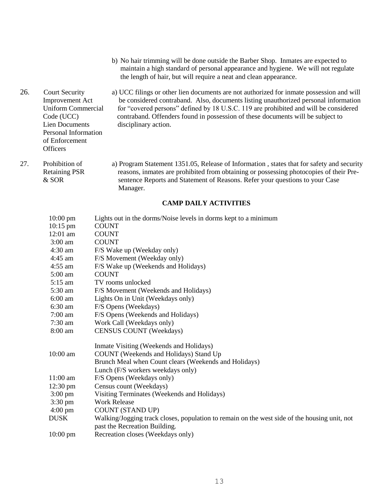- b) No hair trimming will be done outside the Barber Shop. Inmates are expected to maintain a high standard of personal appearance and hygiene. We will not regulate the length of hair, but will require a neat and clean appearance.
- 26. Court Security a) UCC filings or other lien documents are not authorized for inmate possession and will Improvement Act be considered contraband. Also, documents listing unauthorized personal information Uniform Commercial for "covered persons" defined by 18 U.S.C. 119 are prohibited and will be considered Code (UCC) contraband. Offenders found in possession of these documents will be subject to Lien Documents disciplinary action. Personal Information of Enforcement **Officers**
- 27. Prohibition of a) Program Statement 1351.05, Release of Information , states that for safety and security Retaining PSR reasons, inmates are prohibited from obtaining or possessing photocopies of their Pre-& SOR sentence Reports and Statement of Reasons. Refer your questions to your Case Manager.

#### **CAMP DAILY ACTIVITIES**

| $10:00$ pm         | Lights out in the dorms/Noise levels in dorms kept to a minimum                              |
|--------------------|----------------------------------------------------------------------------------------------|
| $10:15$ pm         | <b>COUNT</b>                                                                                 |
| 12:01 am           | <b>COUNT</b>                                                                                 |
| $3:00$ am          | <b>COUNT</b>                                                                                 |
| $4:30 \text{ am}$  | F/S Wake up (Weekday only)                                                                   |
| $4:45$ am          | F/S Movement (Weekday only)                                                                  |
| $4:55$ am          | F/S Wake up (Weekends and Holidays)                                                          |
| $5:00$ am          | <b>COUNT</b>                                                                                 |
| $5:15$ am          | TV rooms unlocked                                                                            |
| $5:30$ am          | F/S Movement (Weekends and Holidays)                                                         |
| $6:00$ am          | Lights On in Unit (Weekdays only)                                                            |
| $6:30$ am          | F/S Opens (Weekdays)                                                                         |
| $7:00$ am          | F/S Opens (Weekends and Holidays)                                                            |
| $7:30$ am          | Work Call (Weekdays only)                                                                    |
| 8:00 am            | <b>CENSUS COUNT (Weekdays)</b>                                                               |
|                    | Inmate Visiting (Weekends and Holidays)                                                      |
| 10:00 am           | COUNT (Weekends and Holidays) Stand Up                                                       |
|                    | Brunch Meal when Count clears (Weekends and Holidays)                                        |
|                    | Lunch (F/S workers weekdays only)                                                            |
| $11:00$ am         | F/S Opens (Weekdays only)                                                                    |
| $12:30 \text{ pm}$ | Census count (Weekdays)                                                                      |
| $3:00 \text{ pm}$  | Visiting Terminates (Weekends and Holidays)                                                  |
| $3:30 \text{ pm}$  | <b>Work Release</b>                                                                          |
| $4:00 \text{ pm}$  | <b>COUNT (STAND UP)</b>                                                                      |
| <b>DUSK</b>        | Walking/Jogging track closes, population to remain on the west side of the housing unit, not |
|                    | past the Recreation Building.                                                                |
| $10:00 \text{ pm}$ | Recreation closes (Weekdays only)                                                            |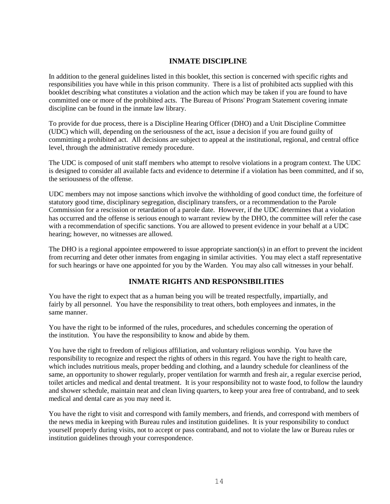### **INMATE DISCIPLINE**

In addition to the general guidelines listed in this booklet, this section is concerned with specific rights and responsibilities you have while in this prison community. There is a list of prohibited acts supplied with this booklet describing what constitutes a violation and the action which may be taken if you are found to have committed one or more of the prohibited acts. The Bureau of Prisons' Program Statement covering inmate discipline can be found in the inmate law library.

To provide for due process, there is a Discipline Hearing Officer (DHO) and a Unit Discipline Committee (UDC) which will, depending on the seriousness of the act, issue a decision if you are found guilty of committing a prohibited act. All decisions are subject to appeal at the institutional, regional, and central office level, through the administrative remedy procedure.

The UDC is composed of unit staff members who attempt to resolve violations in a program context. The UDC is designed to consider all available facts and evidence to determine if a violation has been committed, and if so, the seriousness of the offense.

UDC members may not impose sanctions which involve the withholding of good conduct time, the forfeiture of statutory good time, disciplinary segregation, disciplinary transfers, or a recommendation to the Parole Commission for a rescission or retardation of a parole date. However, if the UDC determines that a violation has occurred and the offense is serious enough to warrant review by the DHO, the committee will refer the case with a recommendation of specific sanctions. You are allowed to present evidence in your behalf at a UDC hearing; however, no witnesses are allowed.

The DHO is a regional appointee empowered to issue appropriate sanction(s) in an effort to prevent the incident from recurring and deter other inmates from engaging in similar activities. You may elect a staff representative for such hearings or have one appointed for you by the Warden. You may also call witnesses in your behalf.

### **INMATE RIGHTS AND RESPONSIBILITIES**

You have the right to expect that as a human being you will be treated respectfully, impartially, and fairly by all personnel. You have the responsibility to treat others, both employees and inmates, in the same manner.

You have the right to be informed of the rules, procedures, and schedules concerning the operation of the institution. You have the responsibility to know and abide by them.

You have the right to freedom of religious affiliation, and voluntary religious worship. You have the responsibility to recognize and respect the rights of others in this regard. You have the right to health care, which includes nutritious meals, proper bedding and clothing, and a laundry schedule for cleanliness of the same, an opportunity to shower regularly, proper ventilation for warmth and fresh air, a regular exercise period, toilet articles and medical and dental treatment. It is your responsibility not to waste food, to follow the laundry and shower schedule, maintain neat and clean living quarters, to keep your area free of contraband, and to seek medical and dental care as you may need it.

You have the right to visit and correspond with family members, and friends, and correspond with members of the news media in keeping with Bureau rules and institution guidelines. It is your responsibility to conduct yourself properly during visits, not to accept or pass contraband, and not to violate the law or Bureau rules or institution guidelines through your correspondence.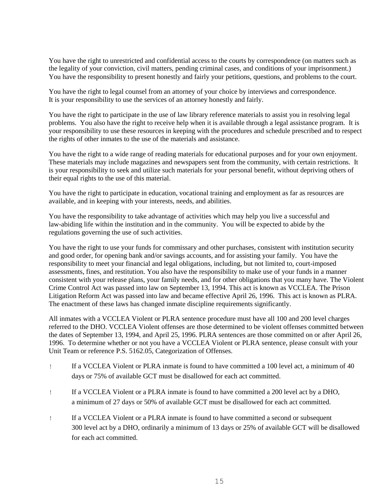You have the right to unrestricted and confidential access to the courts by correspondence (on matters such as the legality of your conviction, civil matters, pending criminal cases, and conditions of your imprisonment.) You have the responsibility to present honestly and fairly your petitions, questions, and problems to the court.

You have the right to legal counsel from an attorney of your choice by interviews and correspondence. It is your responsibility to use the services of an attorney honestly and fairly.

You have the right to participate in the use of law library reference materials to assist you in resolving legal problems. You also have the right to receive help when it is available through a legal assistance program. It is your responsibility to use these resources in keeping with the procedures and schedule prescribed and to respect the rights of other inmates to the use of the materials and assistance.

You have the right to a wide range of reading materials for educational purposes and for your own enjoyment. These materials may include magazines and newspapers sent from the community, with certain restrictions. It is your responsibility to seek and utilize such materials for your personal benefit, without depriving others of their equal rights to the use of this material.

You have the right to participate in education, vocational training and employment as far as resources are available, and in keeping with your interests, needs, and abilities.

You have the responsibility to take advantage of activities which may help you live a successful and law-abiding life within the institution and in the community. You will be expected to abide by the regulations governing the use of such activities.

You have the right to use your funds for commissary and other purchases, consistent with institution security and good order, for opening bank and/or savings accounts, and for assisting your family. You have the responsibility to meet your financial and legal obligations, including, but not limited to, court-imposed assessments, fines, and restitution. You also have the responsibility to make use of your funds in a manner consistent with your release plans, your family needs, and for other obligations that you many have. The Violent Crime Control Act was passed into law on September 13, 1994. This act is known as VCCLEA. The Prison Litigation Reform Act was passed into law and became effective April 26, 1996. This act is known as PLRA. The enactment of these laws has changed inmate discipline requirements significantly.

All inmates with a VCCLEA Violent or PLRA sentence procedure must have all 100 and 200 level charges referred to the DHO. VCCLEA Violent offenses are those determined to be violent offenses committed between the dates of September 13, 1994, and April 25, 1996. PLRA sentences are those committed on or after April 26, 1996. To determine whether or not you have a VCCLEA Violent or PLRA sentence, please consult with your Unit Team or reference P.S. 5162.05, Categorization of Offenses.

- ! If a VCCLEA Violent or PLRA inmate is found to have committed a 100 level act, a minimum of 40 days or 75% of available GCT must be disallowed for each act committed.
- ! If a VCCLEA Violent or a PLRA inmate is found to have committed a 200 level act by a DHO, a minimum of 27 days or 50% of available GCT must be disallowed for each act committed.
- ! If a VCCLEA Violent or a PLRA inmate is found to have committed a second or subsequent 300 level act by a DHO, ordinarily a minimum of 13 days or 25% of available GCT will be disallowed for each act committed.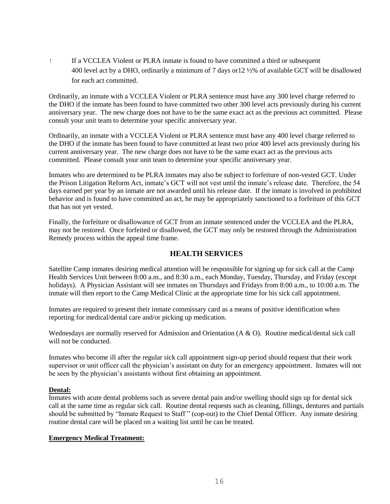! If a VCCLEA Violent or PLRA inmate is found to have committed a third or subsequent 400 level act by a DHO, ordinarily a minimum of 7 days or12 ½% of available GCT will be disallowed for each act committed.

Ordinarily, an inmate with a VCCLEA Violent or PLRA sentence must have any 300 level charge referred to the DHO if the inmate has been found to have committed two other 300 level acts previously during his current anniversary year. The new charge does not have to be the same exact act as the previous act committed. Please consult your unit team to determine your specific anniversary year.

Ordinarily, an inmate with a VCCLEA Violent or PLRA sentence must have any 400 level charge referred to the DHO if the inmate has been found to have committed at least two prior 400 level acts previously during his current anniversary year. The new charge does not have to be the same exact act as the previous acts committed. Please consult your unit team to determine your specific anniversary year.

Inmates who are determined to be PLRA inmates may also be subject to forfeiture of non-vested GCT. Under the Prison Litigation Reform Act, inmate's GCT will not vest until the inmate's release date. Therefore, the 54 days earned per year by an inmate are not awarded until his release date. If the inmate is involved in prohibited behavior and is found to have committed an act, he may be appropriately sanctioned to a forfeiture of this GCT that has not yet vested.

Finally, the forfeiture or disallowance of GCT from an inmate sentenced under the VCCLEA and the PLRA, may not be restored. Once forfeited or disallowed, the GCT may only be restored through the Administration Remedy process within the appeal time frame.

### **HEALTH SERVICES**

Satellite Camp inmates desiring medical attention will be responsible for signing up for sick call at the Camp Health Services Unit between 8:00 a.m., and 8:30 a.m., each Monday, Tuesday, Thursday, and Friday (except holidays). A Physician Assistant will see inmates on Thursdays and Fridays from 8:00 a.m., to 10:00 a.m. The inmate will then report to the Camp Medical Clinic at the appropriate time for his sick call appointment.

Inmates are required to present their inmate commissary card as a means of positive identification when reporting for medical/dental care and/or picking up medication.

Wednesdays are normally reserved for Admission and Orientation (A & O). Routine medical/dental sick call will not be conducted.

Inmates who become ill after the regular sick call appointment sign-up period should request that their work supervisor or unit officer call the physician's assistant on duty for an emergency appointment. Inmates will not be seen by the physician's assistants without first obtaining an appointment.

### **Dental:**

Inmates with acute dental problems such as severe dental pain and/or swelling should sign up for dental sick call at the same time as regular sick call. Routine dental requests such as cleaning, fillings, dentures and partials should be submitted by "Inmate Request to Staff " (cop-out) to the Chief Dental Officer. Any inmate desiring routine dental care will be placed on a waiting list until he can be treated.

#### **Emergency Medical Treatment:**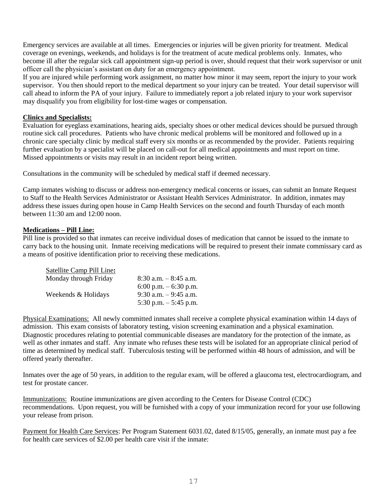Emergency services are available at all times. Emergencies or injuries will be given priority for treatment. Medical coverage on evenings, weekends, and holidays is for the treatment of acute medical problems only. Inmates, who become ill after the regular sick call appointment sign-up period is over, should request that their work supervisor or unit officer call the physician's assistant on duty for an emergency appointment.

If you are injured while performing work assignment, no matter how minor it may seem, report the injury to your work supervisor. You then should report to the medical department so your injury can be treated. Your detail supervisor will call ahead to inform the PA of your injury. Failure to immediately report a job related injury to your work supervisor may disqualify you from eligibility for lost-time wages or compensation.

### **Clinics and Specialists:**

Evaluation for eyeglass examinations, hearing aids, specialty shoes or other medical devices should be pursued through routine sick call procedures. Patients who have chronic medical problems will be monitored and followed up in a chronic care specialty clinic by medical staff every six months or as recommended by the provider. Patients requiring further evaluation by a specialist will be placed on call-out for all medical appointments and must report on time. Missed appointments or visits may result in an incident report being written.

Consultations in the community will be scheduled by medical staff if deemed necessary.

Camp inmates wishing to discuss or address non-emergency medical concerns or issues, can submit an Inmate Request to Staff to the Health Services Administrator or Assistant Health Services Administrator. In addition, inmates may address these issues during open house in Camp Health Services on the second and fourth Thursday of each month between 11:30 am and 12:00 noon.

### **Medications – Pill Line:**

Pill line is provided so that inmates can receive individual doses of medication that cannot be issued to the inmate to carry back to the housing unit. Inmate receiving medications will be required to present their inmate commissary card as a means of positive identification prior to receiving these medications.

| Satellite Camp Pill Line: |                          |
|---------------------------|--------------------------|
| Monday through Friday     | $8:30$ a.m. $-8:45$ a.m. |
|                           | 6:00 p.m. $-$ 6:30 p.m.  |
| Weekends & Holidays       | $9:30$ a.m. $-9:45$ a.m. |
|                           | 5:30 p.m. $-$ 5:45 p.m.  |

Physical Examinations: All newly committed inmates shall receive a complete physical examination within 14 days of admission. This exam consists of laboratory testing, vision screening examination and a physical examination. Diagnostic procedures relating to potential communicable diseases are mandatory for the protection of the inmate, as well as other inmates and staff. Any inmate who refuses these tests will be isolated for an appropriate clinical period of time as determined by medical staff. Tuberculosis testing will be performed within 48 hours of admission, and will be offered yearly thereafter.

Inmates over the age of 50 years, in addition to the regular exam, will be offered a glaucoma test, electrocardiogram, and test for prostate cancer.

Immunizations: Routine immunizations are given according to the Centers for Disease Control (CDC) recommendations. Upon request, you will be furnished with a copy of your immunization record for your use following your release from prison.

Payment for Health Care Services: Per Program Statement 6031.02, dated 8/15/05, generally, an inmate must pay a fee for health care services of \$2.00 per health care visit if the inmate: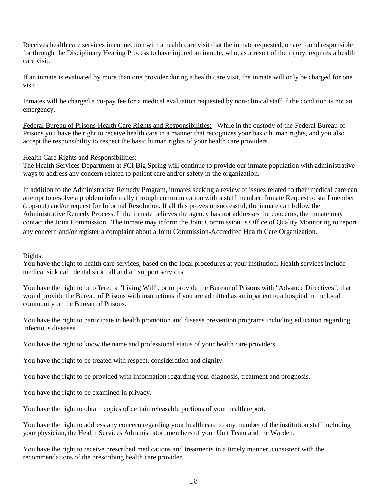Receives health care services in connection with a health care visit that the inmate requested, or are found responsible for through the Disciplinary Hearing Process to have injured an inmate, who, as a result of the injury, requires a health care visit.

If an inmate is evaluated by more than one provider during a health care visit, the inmate will only be charged for one visit.

Inmates will be charged a co-pay fee for a medical evaluation requested by non-clinical staff if the condition is not an emergency.

Federal Bureau of Prisons Health Care Rights and Responsibilities: While in the custody of the Federal Bureau of Prisons you have the right to receive health care in a manner that recognizes your basic human rights, and you also accept the responsibility to respect the basic human rights of your health care providers.

### Health Care Rights and Responsibilities:

The Health Services Department at FCI Big Spring will continue to provide our inmate population with administrative ways to address any concern related to patient care and/or safety in the organization.

In addition to the Administrative Remedy Program, inmates seeking a review of issues related to their medical care can attempt to resolve a problem informally through communication with a staff member, Inmate Request to staff member (cop-out) and/or request for Informal Resolution. If all this proves unsuccessful, the inmate can follow the Administrative Remedy Process. If the inmate believes the agency has not addresses the concerns, the inmate may contact the Joint Commission. The inmate may inform the Joint Commission=s Office of Quality Monitoring to report any concern and/or register a complaint about a Joint Commission-Accredited Health Care Organization.

### Rights:

You have the right to health care services, based on the local procedures at your institution. Health services include medical sick call, dental sick call and all support services.

You have the right to be offered a "Living Will", or to provide the Bureau of Prisons with "Advance Directives", that would provide the Bureau of Prisons with instructions if you are admitted as an inpatient to a hospital in the local community or the Bureau of Prisons.

You have the right to participate in health promotion and disease prevention programs including education regarding infectious diseases.

You have the right to know the name and professional status of your health care providers.

You have the right to be treated with respect, consideration and dignity.

You have the right to be provided with information regarding your diagnosis, treatment and prognosis.

You have the right to be examined in privacy.

You have the right to obtain copies of certain releasable portions of your health report.

You have the right to address any concern regarding your health care to any member of the institution staff including your physician, the Health Services Administrator, members of your Unit Team and the Warden.

You have the right to receive prescribed medications and treatments in a timely manner, consistent with the recommendations of the prescribing health care provider.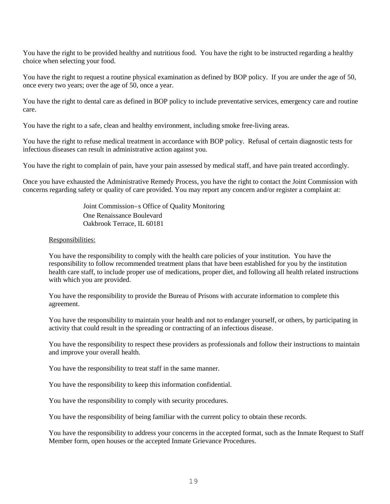You have the right to be provided healthy and nutritious food. You have the right to be instructed regarding a healthy choice when selecting your food.

You have the right to request a routine physical examination as defined by BOP policy. If you are under the age of 50, once every two years; over the age of 50, once a year.

You have the right to dental care as defined in BOP policy to include preventative services, emergency care and routine care.

You have the right to a safe, clean and healthy environment, including smoke free-living areas.

You have the right to refuse medical treatment in accordance with BOP policy. Refusal of certain diagnostic tests for infectious diseases can result in administrative action against you.

You have the right to complain of pain, have your pain assessed by medical staff, and have pain treated accordingly.

Once you have exhausted the Administrative Remedy Process, you have the right to contact the Joint Commission with concerns regarding safety or quality of care provided. You may report any concern and/or register a complaint at:

> Joint Commission=s Office of Quality Monitoring One Renaissance Boulevard Oakbrook Terrace, IL 60181

#### Responsibilities:

You have the responsibility to comply with the health care policies of your institution. You have the responsibility to follow recommended treatment plans that have been established for you by the institution health care staff, to include proper use of medications, proper diet, and following all health related instructions with which you are provided.

You have the responsibility to provide the Bureau of Prisons with accurate information to complete this agreement.

You have the responsibility to maintain your health and not to endanger yourself, or others, by participating in activity that could result in the spreading or contracting of an infectious disease.

You have the responsibility to respect these providers as professionals and follow their instructions to maintain and improve your overall health.

You have the responsibility to treat staff in the same manner.

You have the responsibility to keep this information confidential.

You have the responsibility to comply with security procedures.

You have the responsibility of being familiar with the current policy to obtain these records.

You have the responsibility to address your concerns in the accepted format, such as the Inmate Request to Staff Member form, open houses or the accepted Inmate Grievance Procedures.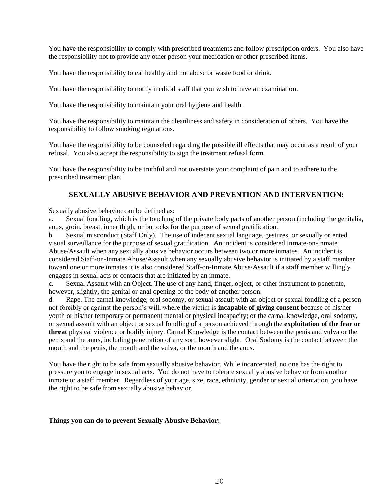You have the responsibility to comply with prescribed treatments and follow prescription orders. You also have the responsibility not to provide any other person your medication or other prescribed items.

You have the responsibility to eat healthy and not abuse or waste food or drink.

You have the responsibility to notify medical staff that you wish to have an examination.

You have the responsibility to maintain your oral hygiene and health.

You have the responsibility to maintain the cleanliness and safety in consideration of others. You have the responsibility to follow smoking regulations.

You have the responsibility to be counseled regarding the possible ill effects that may occur as a result of your refusal. You also accept the responsibility to sign the treatment refusal form.

You have the responsibility to be truthful and not overstate your complaint of pain and to adhere to the prescribed treatment plan.

### **SEXUALLY ABUSIVE BEHAVIOR AND PREVENTION AND INTERVENTION:**

Sexually abusive behavior can be defined as:

a. Sexual fondling, which is the touching of the private body parts of another person (including the genitalia, anus, groin, breast, inner thigh, or buttocks for the purpose of sexual gratification.

b. Sexual misconduct (Staff Only). The use of indecent sexual language, gestures, or sexually oriented visual surveillance for the purpose of sexual gratification. An incident is considered Inmate-on-Inmate Abuse/Assault when any sexually abusive behavior occurs between two or more inmates. An incident is considered Staff-on-Inmate Abuse/Assault when any sexually abusive behavior is initiated by a staff member toward one or more inmates it is also considered Staff-on-Inmate Abuse/Assault if a staff member willingly engages in sexual acts or contacts that are initiated by an inmate.

c. Sexual Assault with an Object. The use of any hand, finger, object, or other instrument to penetrate, however, slightly, the genital or anal opening of the body of another person.

d. Rape. The carnal knowledge, oral sodomy, or sexual assault with an object or sexual fondling of a person not forcibly or against the person's will, where the victim is **incapable of giving consent** because of his/her youth or his/her temporary or permanent mental or physical incapacity; or the carnal knowledge, oral sodomy, or sexual assault with an object or sexual fondling of a person achieved through the **exploitation of the fear or threat** physical violence or bodily injury. Carnal Knowledge is the contact between the penis and vulva or the penis and the anus, including penetration of any sort, however slight. Oral Sodomy is the contact between the mouth and the penis, the mouth and the vulva, or the mouth and the anus.

You have the right to be safe from sexually abusive behavior. While incarcerated, no one has the right to pressure you to engage in sexual acts. You do not have to tolerate sexually abusive behavior from another inmate or a staff member. Regardless of your age, size, race, ethnicity, gender or sexual orientation, you have the right to be safe from sexually abusive behavior.

#### **Things you can do to prevent Sexually Abusive Behavior:**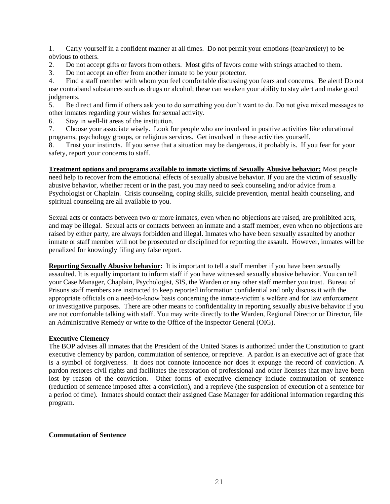1. Carry yourself in a confident manner at all times. Do not permit your emotions (fear/anxiety) to be obvious to others.

- 2. Do not accept gifts or favors from others. Most gifts of favors come with strings attached to them.
- 3. Do not accept an offer from another inmate to be your protector.

4. Find a staff member with whom you feel comfortable discussing you fears and concerns. Be alert! Do not use contraband substances such as drugs or alcohol; these can weaken your ability to stay alert and make good judgments.

5. Be direct and firm if others ask you to do something you don't want to do. Do not give mixed messages to other inmates regarding your wishes for sexual activity.

6. Stay in well-lit areas of the institution.

7. Choose your associate wisely. Look for people who are involved in positive activities like educational programs, psychology groups, or religious services. Get involved in these activities yourself.

8. Trust your instincts. If you sense that a situation may be dangerous, it probably is. If you fear for your safety, report your concerns to staff.

**Treatment options and programs available to inmate victims of Sexually Abusive behavior:** Most people need help to recover from the emotional effects of sexually abusive behavior. If you are the victim of sexually abusive behavior, whether recent or in the past, you may need to seek counseling and/or advice from a Psychologist or Chaplain. Crisis counseling, coping skills, suicide prevention, mental health counseling, and spiritual counseling are all available to you.

Sexual acts or contacts between two or more inmates, even when no objections are raised, are prohibited acts, and may be illegal. Sexual acts or contacts between an inmate and a staff member, even when no objections are raised by either party, are always forbidden and illegal. Inmates who have been sexually assaulted by another inmate or staff member will not be prosecuted or disciplined for reporting the assault. However, inmates will be penalized for knowingly filing any false report.

**Reporting Sexually Abusive behavior:** It is important to tell a staff member if you have been sexually assaulted. It is equally important to inform staff if you have witnessed sexually abusive behavior. You can tell your Case Manager, Chaplain, Psychologist, SIS, the Warden or any other staff member you trust. Bureau of Prisons staff members are instructed to keep reported information confidential and only discuss it with the appropriate officials on a need-to-know basis concerning the inmate-victim's welfare and for law enforcement or investigative purposes. There are other means to confidentiality in reporting sexually abusive behavior if you are not comfortable talking with staff. You may write directly to the Warden, Regional Director or Director, file an Administrative Remedy or write to the Office of the Inspector General (OIG).

### **Executive Clemency**

The BOP advises all inmates that the President of the United States is authorized under the Constitution to grant executive clemency by pardon, commutation of sentence, or reprieve. A pardon is an executive act of grace that is a symbol of forgiveness. It does not connote innocence nor does it expunge the record of conviction. A pardon restores civil rights and facilitates the restoration of professional and other licenses that may have been lost by reason of the conviction. Other forms of executive clemency include commutation of sentence (reduction of sentence imposed after a conviction), and a reprieve (the suspension of execution of a sentence for a period of time). Inmates should contact their assigned Case Manager for additional information regarding this program.

#### **Commutation of Sentence**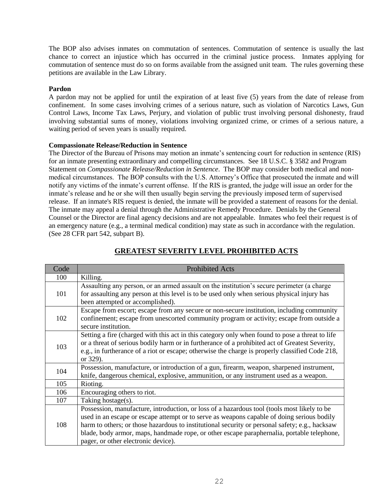The BOP also advises inmates on commutation of sentences. Commutation of sentence is usually the last chance to correct an injustice which has occurred in the criminal justice process. Inmates applying for commutation of sentence must do so on forms available from the assigned unit team. The rules governing these petitions are available in the Law Library.

### **Pardon**

A pardon may not be applied for until the expiration of at least five (5) years from the date of release from confinement. In some cases involving crimes of a serious nature, such as violation of Narcotics Laws, Gun Control Laws, Income Tax Laws, Perjury, and violation of public trust involving personal dishonesty, fraud involving substantial sums of money, violations involving organized crime, or crimes of a serious nature, a waiting period of seven years is usually required.

### **Compassionate Release/Reduction in Sentence**

The Director of the Bureau of Prisons may motion an inmate's sentencing court for reduction in sentence (RIS) for an inmate presenting extraordinary and compelling circumstances. See 18 U.S.C. § 3582 and Program Statement on *Compassionate Release/Reduction in Sentence*. The BOP may consider both medical and nonmedical circumstances. The BOP consults with the U.S. Attorney's Office that prosecuted the inmate and will notify any victims of the inmate's current offense. If the RIS is granted, the judge will issue an order for the inmate's release and he or she will then usually begin serving the previously imposed term of supervised release. If an inmate's RIS request is denied, the inmate will be provided a statement of reasons for the denial. The inmate may appeal a denial through the Administrative Remedy Procedure. Denials by the General Counsel or the Director are final agency decisions and are not appealable. Inmates who feel their request is of an emergency nature (e.g., a terminal medical condition) may state as such in accordance with the regulation. (See 28 CFR part 542, subpart B).

| Code | <b>Prohibited Acts</b>                                                                                                                                                                                                                                                                                                                                                                                                           |
|------|----------------------------------------------------------------------------------------------------------------------------------------------------------------------------------------------------------------------------------------------------------------------------------------------------------------------------------------------------------------------------------------------------------------------------------|
| 100  | Killing.                                                                                                                                                                                                                                                                                                                                                                                                                         |
| 101  | Assaulting any person, or an armed assault on the institution's secure perimeter (a charge<br>for assaulting any person at this level is to be used only when serious physical injury has<br>been attempted or accomplished).                                                                                                                                                                                                    |
| 102  | Escape from escort; escape from any secure or non-secure institution, including community<br>confinement; escape from unescorted community program or activity; escape from outside a<br>secure institution.                                                                                                                                                                                                                     |
| 103  | Setting a fire (charged with this act in this category only when found to pose a threat to life<br>or a threat of serious bodily harm or in furtherance of a prohibited act of Greatest Severity,<br>e.g., in furtherance of a riot or escape; otherwise the charge is properly classified Code 218,<br>or 329).                                                                                                                 |
| 104  | Possession, manufacture, or introduction of a gun, firearm, weapon, sharpened instrument,<br>knife, dangerous chemical, explosive, ammunition, or any instrument used as a weapon.                                                                                                                                                                                                                                               |
| 105  | Rioting.                                                                                                                                                                                                                                                                                                                                                                                                                         |
| 106  | Encouraging others to riot.                                                                                                                                                                                                                                                                                                                                                                                                      |
| 107  | Taking hostage(s).                                                                                                                                                                                                                                                                                                                                                                                                               |
| 108  | Possession, manufacture, introduction, or loss of a hazardous tool (tools most likely to be<br>used in an escape or escape attempt or to serve as weapons capable of doing serious bodily<br>harm to others; or those hazardous to institutional security or personal safety; e.g., hacksaw<br>blade, body armor, maps, handmade rope, or other escape paraphernalia, portable telephone,<br>pager, or other electronic device). |

### **GREATEST SEVERITY LEVEL PROHIBITED ACTS**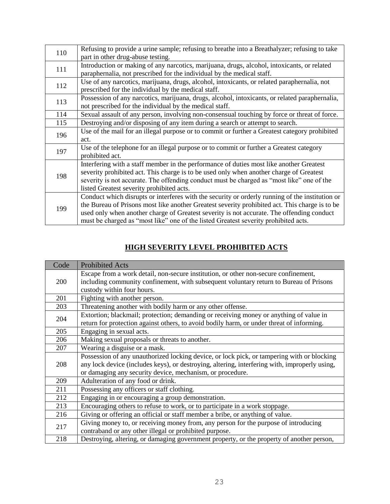| 110 | Refusing to provide a urine sample; refusing to breathe into a Breathalyzer; refusing to take   |
|-----|-------------------------------------------------------------------------------------------------|
|     | part in other drug-abuse testing.                                                               |
| 111 | Introduction or making of any narcotics, marijuana, drugs, alcohol, intoxicants, or related     |
|     | paraphernalia, not prescribed for the individual by the medical staff.                          |
| 112 | Use of any narcotics, marijuana, drugs, alcohol, intoxicants, or related paraphernalia, not     |
|     | prescribed for the individual by the medical staff.                                             |
| 113 | Possession of any narcotics, marijuana, drugs, alcohol, intoxicants, or related paraphernalia,  |
|     | not prescribed for the individual by the medical staff.                                         |
| 114 | Sexual assault of any person, involving non-consensual touching by force or threat of force.    |
| 115 | Destroying and/or disposing of any item during a search or attempt to search.                   |
| 196 | Use of the mail for an illegal purpose or to commit or further a Greatest category prohibited   |
|     | act.                                                                                            |
| 197 | Use of the telephone for an illegal purpose or to commit or further a Greatest category         |
|     | prohibited act.                                                                                 |
|     | Interfering with a staff member in the performance of duties most like another Greatest         |
| 198 | severity prohibited act. This charge is to be used only when another charge of Greatest         |
|     | severity is not accurate. The offending conduct must be charged as "most like" one of the       |
|     | listed Greatest severity prohibited acts.                                                       |
|     | Conduct which disrupts or interferes with the security or orderly running of the institution or |
| 199 | the Bureau of Prisons most like another Greatest severity prohibited act. This charge is to be  |
|     | used only when another charge of Greatest severity is not accurate. The offending conduct       |
|     | must be charged as "most like" one of the listed Greatest severity prohibited acts.             |

# **HIGH SEVERITY LEVEL PROHIBITED ACTS**

| Code       | <b>Prohibited Acts</b>                                                                        |
|------------|-----------------------------------------------------------------------------------------------|
| <b>200</b> | Escape from a work detail, non-secure institution, or other non-secure confinement,           |
|            | including community confinement, with subsequent voluntary return to Bureau of Prisons        |
|            | custody within four hours.                                                                    |
| 201        | Fighting with another person.                                                                 |
| 203        | Threatening another with bodily harm or any other offense.                                    |
| 204        | Extortion; blackmail; protection; demanding or receiving money or anything of value in        |
|            | return for protection against others, to avoid bodily harm, or under threat of informing.     |
| 205        | Engaging in sexual acts.                                                                      |
| 206        | Making sexual proposals or threats to another.                                                |
| 207        | Wearing a disguise or a mask.                                                                 |
|            | Possession of any unauthorized locking device, or lock pick, or tampering with or blocking    |
| 208        | any lock device (includes keys), or destroying, altering, interfering with, improperly using, |
|            | or damaging any security device, mechanism, or procedure.                                     |
| 209        | Adulteration of any food or drink.                                                            |
| 211        | Possessing any officers or staff clothing.                                                    |
| 212        | Engaging in or encouraging a group demonstration.                                             |
| 213        | Encouraging others to refuse to work, or to participate in a work stoppage.                   |
| 216        | Giving or offering an official or staff member a bribe, or anything of value.                 |
|            | Giving money to, or receiving money from, any person for the purpose of introducing           |
| 217        | contraband or any other illegal or prohibited purpose.                                        |
| 218        | Destroying, altering, or damaging government property, or the property of another person,     |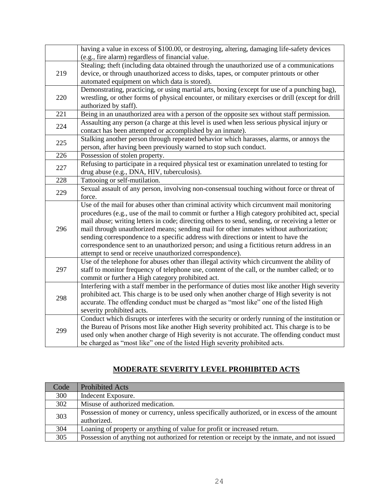|     | having a value in excess of \$100.00, or destroying, altering, damaging life-safety devices<br>(e.g., fire alarm) regardless of financial value.                                           |
|-----|--------------------------------------------------------------------------------------------------------------------------------------------------------------------------------------------|
|     | Stealing; theft (including data obtained through the unauthorized use of a communications                                                                                                  |
| 219 | device, or through unauthorized access to disks, tapes, or computer printouts or other                                                                                                     |
|     | automated equipment on which data is stored).                                                                                                                                              |
|     | Demonstrating, practicing, or using martial arts, boxing (except for use of a punching bag),                                                                                               |
| 220 | wrestling, or other forms of physical encounter, or military exercises or drill (except for drill                                                                                          |
|     | authorized by staff).                                                                                                                                                                      |
| 221 | Being in an unauthorized area with a person of the opposite sex without staff permission.                                                                                                  |
| 224 | Assaulting any person (a charge at this level is used when less serious physical injury or                                                                                                 |
|     | contact has been attempted or accomplished by an inmate).                                                                                                                                  |
| 225 | Stalking another person through repeated behavior which harasses, alarms, or annoys the                                                                                                    |
|     | person, after having been previously warned to stop such conduct.                                                                                                                          |
| 226 | Possession of stolen property.                                                                                                                                                             |
| 227 | Refusing to participate in a required physical test or examination unrelated to testing for                                                                                                |
|     | drug abuse (e.g., DNA, HIV, tuberculosis).                                                                                                                                                 |
| 228 | Tattooing or self-mutilation.                                                                                                                                                              |
| 229 | Sexual assault of any person, involving non-consensual touching without force or threat of                                                                                                 |
|     | force.                                                                                                                                                                                     |
|     | Use of the mail for abuses other than criminal activity which circumvent mail monitoring                                                                                                   |
|     | procedures (e.g., use of the mail to commit or further a High category prohibited act, special                                                                                             |
| 296 | mail abuse; writing letters in code; directing others to send, sending, or receiving a letter or<br>mail through unauthorized means; sending mail for other inmates without authorization; |
|     | sending correspondence to a specific address with directions or intent to have the                                                                                                         |
|     | correspondence sent to an unauthorized person; and using a fictitious return address in an                                                                                                 |
|     | attempt to send or receive unauthorized correspondence).                                                                                                                                   |
|     | Use of the telephone for abuses other than illegal activity which circumvent the ability of                                                                                                |
| 297 | staff to monitor frequency of telephone use, content of the call, or the number called; or to                                                                                              |
|     | commit or further a High category prohibited act.                                                                                                                                          |
|     | Interfering with a staff member in the performance of duties most like another High severity                                                                                               |
|     | prohibited act. This charge is to be used only when another charge of High severity is not                                                                                                 |
| 298 | accurate. The offending conduct must be charged as "most like" one of the listed High                                                                                                      |
|     | severity prohibited acts.                                                                                                                                                                  |
|     | Conduct which disrupts or interferes with the security or orderly running of the institution or                                                                                            |
| 299 | the Bureau of Prisons most like another High severity prohibited act. This charge is to be                                                                                                 |
|     | used only when another charge of High severity is not accurate. The offending conduct must                                                                                                 |
|     | be charged as "most like" one of the listed High severity prohibited acts.                                                                                                                 |

# **MODERATE SEVERITY LEVEL PROHIBITED ACTS**

| Code | <b>Prohibited Acts</b>                                                                       |
|------|----------------------------------------------------------------------------------------------|
| 300  | Indecent Exposure.                                                                           |
| 302  | Misuse of authorized medication.                                                             |
| 303  | Possession of money or currency, unless specifically authorized, or in excess of the amount  |
|      | authorized.                                                                                  |
| 304  | Loaning of property or anything of value for profit or increased return.                     |
| 305  | Possession of anything not authorized for retention or receipt by the inmate, and not issued |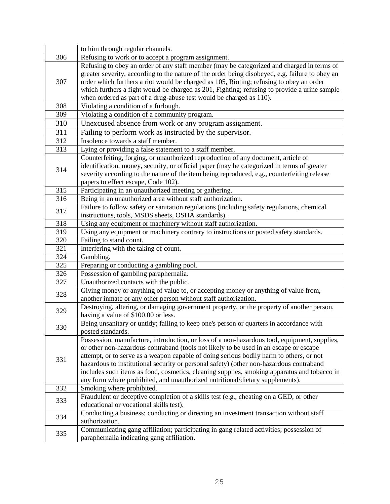|     | to him through regular channels.                                                                |
|-----|-------------------------------------------------------------------------------------------------|
| 306 | Refusing to work or to accept a program assignment.                                             |
|     | Refusing to obey an order of any staff member (may be categorized and charged in terms of       |
| 307 | greater severity, according to the nature of the order being disobeyed, e.g. failure to obey an |
|     | order which furthers a riot would be charged as 105, Rioting; refusing to obey an order         |
|     | which furthers a fight would be charged as 201, Fighting; refusing to provide a urine sample    |
|     | when ordered as part of a drug-abuse test would be charged as 110).                             |
| 308 | Violating a condition of a furlough.                                                            |
| 309 | Violating a condition of a community program.                                                   |
| 310 | Unexcused absence from work or any program assignment.                                          |
| 311 | Failing to perform work as instructed by the supervisor.                                        |
| 312 | Insolence towards a staff member.                                                               |
| 313 | Lying or providing a false statement to a staff member.                                         |
| 314 | Counterfeiting, forging, or unauthorized reproduction of any document, article of               |
|     | identification, money, security, or official paper (may be categorized in terms of greater      |
|     | severity according to the nature of the item being reproduced, e.g., counterfeiting release     |
|     | papers to effect escape, Code 102).                                                             |
| 315 | Participating in an unauthorized meeting or gathering.                                          |
| 316 | Being in an unauthorized area without staff authorization.                                      |
| 317 | Failure to follow safety or sanitation regulations (including safety regulations, chemical      |
|     | instructions, tools, MSDS sheets, OSHA standards).                                              |
| 318 | Using any equipment or machinery without staff authorization.                                   |
| 319 | Using any equipment or machinery contrary to instructions or posted safety standards.           |
| 320 | Failing to stand count.                                                                         |
| 321 | Interfering with the taking of count.                                                           |
| 324 | Gambling.                                                                                       |
| 325 | Preparing or conducting a gambling pool.                                                        |
| 326 | Possession of gambling paraphernalia.                                                           |
| 327 | Unauthorized contacts with the public.                                                          |
| 328 | Giving money or anything of value to, or accepting money or anything of value from,             |
|     | another inmate or any other person without staff authorization.                                 |
| 329 | Destroying, altering, or damaging government property, or the property of another person,       |
|     | having a value of \$100.00 or less.                                                             |
| 330 | Being unsanitary or untidy; failing to keep one's person or quarters in accordance with         |
|     | posted standards.                                                                               |
|     | Possession, manufacture, introduction, or loss of a non-hazardous tool, equipment, supplies,    |
|     | or other non-hazardous contraband (tools not likely to be used in an escape or escape           |
| 331 | attempt, or to serve as a weapon capable of doing serious bodily harm to others, or not         |
|     | hazardous to institutional security or personal safety) (other non-hazardous contraband         |
|     | includes such items as food, cosmetics, cleaning supplies, smoking apparatus and tobacco in     |
|     | any form where prohibited, and unauthorized nutritional/dietary supplements).                   |
| 332 | Smoking where prohibited.                                                                       |
| 333 | Fraudulent or deceptive completion of a skills test (e.g., cheating on a GED, or other          |
|     | educational or vocational skills test).                                                         |
| 334 | Conducting a business; conducting or directing an investment transaction without staff          |
|     | authorization.                                                                                  |
| 335 | Communicating gang affiliation; participating in gang related activities; possession of         |
|     | paraphernalia indicating gang affiliation.                                                      |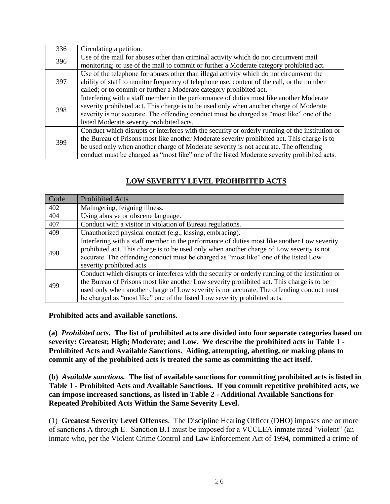| 336 | Circulating a petition.                                                                         |
|-----|-------------------------------------------------------------------------------------------------|
| 396 | Use of the mail for abuses other than criminal activity which do not circumvent mail            |
|     | monitoring; or use of the mail to commit or further a Moderate category prohibited act.         |
| 397 | Use of the telephone for abuses other than illegal activity which do not circumvent the         |
|     | ability of staff to monitor frequency of telephone use, content of the call, or the number      |
|     | called; or to commit or further a Moderate category prohibited act.                             |
| 398 | Interfering with a staff member in the performance of duties most like another Moderate         |
|     | severity prohibited act. This charge is to be used only when another charge of Moderate         |
|     | severity is not accurate. The offending conduct must be charged as "most like" one of the       |
|     | listed Moderate severity prohibited acts.                                                       |
| 399 | Conduct which disrupts or interferes with the security or orderly running of the institution or |
|     | the Bureau of Prisons most like another Moderate severity prohibited act. This charge is to     |
|     | be used only when another charge of Moderate severity is not accurate. The offending            |
|     | conduct must be charged as "most like" one of the listed Moderate severity prohibited acts.     |

## **LOW SEVERITY LEVEL PROHIBITED ACTS**

| Code | <b>Prohibited Acts</b>                                                                                                                                                                                                                                                                                                                                                 |
|------|------------------------------------------------------------------------------------------------------------------------------------------------------------------------------------------------------------------------------------------------------------------------------------------------------------------------------------------------------------------------|
| 402  | Malingering, feigning illness.                                                                                                                                                                                                                                                                                                                                         |
| 404  | Using abusive or obscene language.                                                                                                                                                                                                                                                                                                                                     |
| 407  | Conduct with a visitor in violation of Bureau regulations.                                                                                                                                                                                                                                                                                                             |
| 409  | Unauthorized physical contact (e.g., kissing, embracing).                                                                                                                                                                                                                                                                                                              |
| 498  | Interfering with a staff member in the performance of duties most like another Low severity<br>prohibited act. This charge is to be used only when another charge of Low severity is not<br>accurate. The offending conduct must be charged as "most like" one of the listed Low<br>severity prohibited acts.                                                          |
| 499  | Conduct which disrupts or interferes with the security or orderly running of the institution or<br>the Bureau of Prisons most like another Low severity prohibited act. This charge is to be<br>used only when another charge of Low severity is not accurate. The offending conduct must<br>be charged as "most like" one of the listed Low severity prohibited acts. |

**Prohibited acts and available sanctions.**

**(a)** *Prohibited acts.* **The list of prohibited acts are divided into four separate categories based on severity: Greatest; High; Moderate; and Low. We describe the prohibited acts in Table 1 - Prohibited Acts and Available Sanctions. Aiding, attempting, abetting, or making plans to commit any of the prohibited acts is treated the same as committing the act itself.** 

**(b)** *Available sanctions.* **The list of available sanctions for committing prohibited acts is listed in Table 1 - Prohibited Acts and Available Sanctions. If you commit repetitive prohibited acts, we can impose increased sanctions, as listed in Table 2 - Additional Available Sanctions for Repeated Prohibited Acts Within the Same Severity Level.**

(1) **Greatest Severity Level Offenses**. The Discipline Hearing Officer (DHO) imposes one or more of sanctions A through E. Sanction B.1 must be imposed for a VCCLEA inmate rated "violent" (an inmate who, per the Violent Crime Control and Law Enforcement Act of 1994, committed a crime of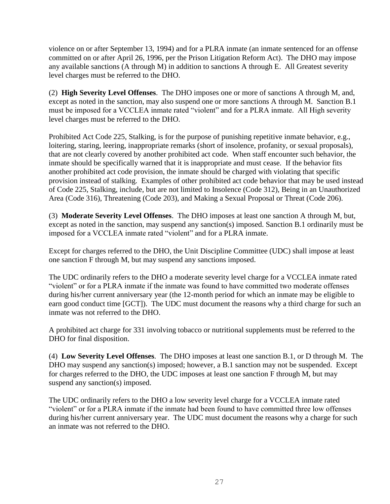violence on or after September 13, 1994) and for a PLRA inmate (an inmate sentenced for an offense committed on or after April 26, 1996, per the Prison Litigation Reform Act). The DHO may impose any available sanctions (A through M) in addition to sanctions A through E. All Greatest severity level charges must be referred to the DHO.

(2) **High Severity Level Offenses**. The DHO imposes one or more of sanctions A through M, and, except as noted in the sanction, may also suspend one or more sanctions A through M. Sanction B.1 must be imposed for a VCCLEA inmate rated "violent" and for a PLRA inmate. All High severity level charges must be referred to the DHO.

Prohibited Act Code 225, Stalking, is for the purpose of punishing repetitive inmate behavior, e.g., loitering, staring, leering, inappropriate remarks (short of insolence, profanity, or sexual proposals), that are not clearly covered by another prohibited act code. When staff encounter such behavior, the inmate should be specifically warned that it is inappropriate and must cease. If the behavior fits another prohibited act code provision, the inmate should be charged with violating that specific provision instead of stalking. Examples of other prohibited act code behavior that may be used instead of Code 225, Stalking, include, but are not limited to Insolence (Code 312), Being in an Unauthorized Area (Code 316), Threatening (Code 203), and Making a Sexual Proposal or Threat (Code 206).

(3) **Moderate Severity Level Offenses**. The DHO imposes at least one sanction A through M, but, except as noted in the sanction, may suspend any sanction(s) imposed. Sanction B.1 ordinarily must be imposed for a VCCLEA inmate rated "violent" and for a PLRA inmate.

Except for charges referred to the DHO, the Unit Discipline Committee (UDC) shall impose at least one sanction F through M, but may suspend any sanctions imposed.

The UDC ordinarily refers to the DHO a moderate severity level charge for a VCCLEA inmate rated "violent" or for a PLRA inmate if the inmate was found to have committed two moderate offenses during his/her current anniversary year (the 12-month period for which an inmate may be eligible to earn good conduct time [GCT]). The UDC must document the reasons why a third charge for such an inmate was not referred to the DHO.

A prohibited act charge for 331 involving tobacco or nutritional supplements must be referred to the DHO for final disposition.

(4) **Low Severity Level Offenses**. The DHO imposes at least one sanction B.1, or D through M. The DHO may suspend any sanction(s) imposed; however, a B.1 sanction may not be suspended. Except for charges referred to the DHO, the UDC imposes at least one sanction F through M, but may suspend any sanction(s) imposed.

The UDC ordinarily refers to the DHO a low severity level charge for a VCCLEA inmate rated "violent" or for a PLRA inmate if the inmate had been found to have committed three low offenses during his/her current anniversary year. The UDC must document the reasons why a charge for such an inmate was not referred to the DHO.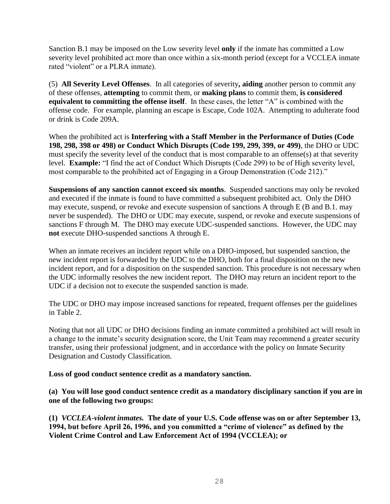Sanction B.1 may be imposed on the Low severity level **only** if the inmate has committed a Low severity level prohibited act more than once within a six-month period (except for a VCCLEA inmate rated "violent" or a PLRA inmate).

(5) **All Severity Level Offenses**. In all categories of severity**, aiding** another person to commit any of these offenses, **attempting** to commit them, or **making plans** to commit them, **is considered equivalent to committing the offense itself**. In these cases, the letter "A" is combined with the offense code. For example, planning an escape is Escape, Code 102A. Attempting to adulterate food or drink is Code 209A.

When the prohibited act is **Interfering with a Staff Member in the Performance of Duties (Code 198, 298, 398 or 498) or Conduct Which Disrupts (Code 199, 299, 399, or 499)**, the DHO or UDC must specify the severity level of the conduct that is most comparable to an offense(s) at that severity level. **Example:** "I find the act of Conduct Which Disrupts (Code 299) to be of High severity level, most comparable to the prohibited act of Engaging in a Group Demonstration (Code 212)."

**Suspensions of any sanction cannot exceed six months**. Suspended sanctions may only be revoked and executed if the inmate is found to have committed a subsequent prohibited act. Only the DHO may execute, suspend, or revoke and execute suspension of sanctions A through E (B and B.1. may never be suspended). The DHO or UDC may execute, suspend, or revoke and execute suspensions of sanctions F through M. The DHO may execute UDC-suspended sanctions. However, the UDC may **not** execute DHO-suspended sanctions A through E.

When an inmate receives an incident report while on a DHO-imposed, but suspended sanction, the new incident report is forwarded by the UDC to the DHO, both for a final disposition on the new incident report, and for a disposition on the suspended sanction. This procedure is not necessary when the UDC informally resolves the new incident report. The DHO may return an incident report to the UDC if a decision not to execute the suspended sanction is made.

The UDC or DHO may impose increased sanctions for repeated, frequent offenses per the guidelines in Table 2.

Noting that not all UDC or DHO decisions finding an inmate committed a prohibited act will result in a change to the inmate's security designation score, the Unit Team may recommend a greater security transfer, using their professional judgment, and in accordance with the policy on Inmate Security Designation and Custody Classification.

### **Loss of good conduct sentence credit as a mandatory sanction.**

**(a) You will lose good conduct sentence credit as a mandatory disciplinary sanction if you are in one of the following two groups:**

**(1)** *VCCLEA-violent inmates.* **The date of your U.S. Code offense was on or after September 13, 1994, but before April 26, 1996, and you committed a "crime of violence" as defined by the Violent Crime Control and Law Enforcement Act of 1994 (VCCLEA); or**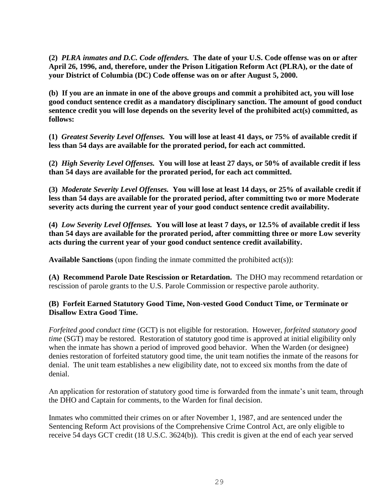**(2)** *PLRA inmates and D.C. Code offenders.* **The date of your U.S. Code offense was on or after April 26, 1996, and, therefore, under the Prison Litigation Reform Act (PLRA), or the date of your District of Columbia (DC) Code offense was on or after August 5, 2000.**

**(b) If you are an inmate in one of the above groups and commit a prohibited act, you will lose good conduct sentence credit as a mandatory disciplinary sanction. The amount of good conduct sentence credit you will lose depends on the severity level of the prohibited act(s) committed, as follows:**

**(1)** *Greatest Severity Level Offenses.* **You will lose at least 41 days, or 75% of available credit if less than 54 days are available for the prorated period, for each act committed.**

**(2)** *High Severity Level Offenses.* **You will lose at least 27 days, or 50% of available credit if less than 54 days are available for the prorated period, for each act committed.**

**(3)** *Moderate Severity Level Offenses.* **You will lose at least 14 days, or 25% of available credit if less than 54 days are available for the prorated period, after committing two or more Moderate severity acts during the current year of your good conduct sentence credit availability.**

**(4)** *Low Severity Level Offenses.* **You will lose at least 7 days, or 12.5% of available credit if less than 54 days are available for the prorated period, after committing three or more Low severity acts during the current year of your good conduct sentence credit availability.**

**Available Sanctions** (upon finding the inmate committed the prohibited act(s)):

**(A) Recommend Parole Date Rescission or Retardation.** The DHO may recommend retardation or rescission of parole grants to the U.S. Parole Commission or respective parole authority.

### **(B) Forfeit Earned Statutory Good Time, Non-vested Good Conduct Time, or Terminate or Disallow Extra Good Time.**

*Forfeited good conduct time* (GCT) is not eligible for restoration. However, *forfeited statutory good time* (SGT) may be restored. Restoration of statutory good time is approved at initial eligibility only when the inmate has shown a period of improved good behavior. When the Warden (or designee) denies restoration of forfeited statutory good time, the unit team notifies the inmate of the reasons for denial. The unit team establishes a new eligibility date, not to exceed six months from the date of denial.

An application for restoration of statutory good time is forwarded from the inmate's unit team, through the DHO and Captain for comments, to the Warden for final decision.

Inmates who committed their crimes on or after November 1, 1987, and are sentenced under the Sentencing Reform Act provisions of the Comprehensive Crime Control Act, are only eligible to receive 54 days GCT credit (18 U.S.C. 3624(b)). This credit is given at the end of each year served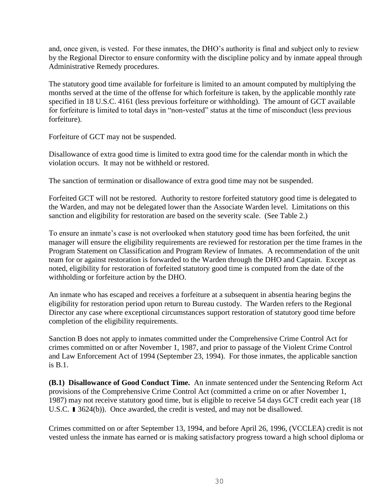and, once given, is vested. For these inmates, the DHO's authority is final and subject only to review by the Regional Director to ensure conformity with the discipline policy and by inmate appeal through Administrative Remedy procedures.

The statutory good time available for forfeiture is limited to an amount computed by multiplying the months served at the time of the offense for which forfeiture is taken, by the applicable monthly rate specified in 18 U.S.C. 4161 (less previous forfeiture or withholding). The amount of GCT available for forfeiture is limited to total days in "non-vested" status at the time of misconduct (less previous forfeiture).

Forfeiture of GCT may not be suspended.

Disallowance of extra good time is limited to extra good time for the calendar month in which the violation occurs. It may not be withheld or restored.

The sanction of termination or disallowance of extra good time may not be suspended.

Forfeited GCT will not be restored. Authority to restore forfeited statutory good time is delegated to the Warden, and may not be delegated lower than the Associate Warden level. Limitations on this sanction and eligibility for restoration are based on the severity scale. (See Table 2.)

To ensure an inmate's case is not overlooked when statutory good time has been forfeited, the unit manager will ensure the eligibility requirements are reviewed for restoration per the time frames in the Program Statement on Classification and Program Review of Inmates. A recommendation of the unit team for or against restoration is forwarded to the Warden through the DHO and Captain. Except as noted, eligibility for restoration of forfeited statutory good time is computed from the date of the withholding or forfeiture action by the DHO.

An inmate who has escaped and receives a forfeiture at a subsequent in absentia hearing begins the eligibility for restoration period upon return to Bureau custody. The Warden refers to the Regional Director any case where exceptional circumstances support restoration of statutory good time before completion of the eligibility requirements.

Sanction B does not apply to inmates committed under the Comprehensive Crime Control Act for crimes committed on or after November 1, 1987, and prior to passage of the Violent Crime Control and Law Enforcement Act of 1994 (September 23, 1994). For those inmates, the applicable sanction is B.1.

**(B.1) Disallowance of Good Conduct Time.** An inmate sentenced under the Sentencing Reform Act provisions of the Comprehensive Crime Control Act (committed a crime on or after November 1, 1987) may not receive statutory good time, but is eligible to receive 54 days GCT credit each year (18 U.S.C. 13624(b)). Once awarded, the credit is vested, and may not be disallowed.

Crimes committed on or after September 13, 1994, and before April 26, 1996, (VCCLEA) credit is not vested unless the inmate has earned or is making satisfactory progress toward a high school diploma or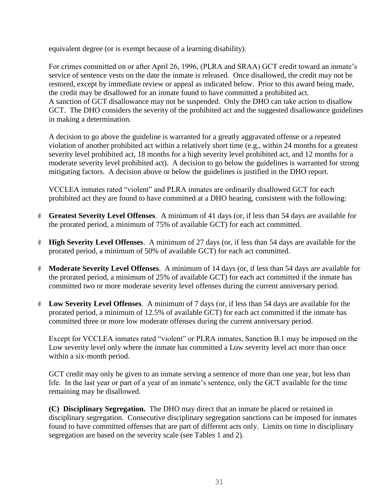equivalent degree (or is exempt because of a learning disability).

For crimes committed on or after April 26, 1996, (PLRA and SRAA) GCT credit toward an inmate's service of sentence vests on the date the inmate is released. Once disallowed, the credit may not be restored, except by immediate review or appeal as indicated below. Prior to this award being made, the credit may be disallowed for an inmate found to have committed a prohibited act. A sanction of GCT disallowance may not be suspended. Only the DHO can take action to disallow GCT. The DHO considers the severity of the prohibited act and the suggested disallowance guidelines in making a determination.

A decision to go above the guideline is warranted for a greatly aggravated offense or a repeated violation of another prohibited act within a relatively short time (e.g., within 24 months for a greatest severity level prohibited act, 18 months for a high severity level prohibited act, and 12 months for a moderate severity level prohibited act). A decision to go below the guidelines is warranted for strong mitigating factors. A decision above or below the guidelines is justified in the DHO report.

VCCLEA inmates rated "violent" and PLRA inmates are ordinarily disallowed GCT for each prohibited act they are found to have committed at a DHO hearing, consistent with the following:

- # **Greatest Severity Level Offenses**. A minimum of 41 days (or, if less than 54 days are available for the prorated period, a minimum of 75% of available GCT) for each act committed.
- # **High Severity Level Offenses**. A minimum of 27 days (or, if less than 54 days are available for the prorated period, a minimum of 50% of available GCT) for each act committed.
- # **Moderate Severity Level Offenses**. A minimum of 14 days (or, if less than 54 days are available for the prorated period, a minimum of 25% of available GCT) for each act committed if the inmate has committed two or more moderate severity level offenses during the current anniversary period.
- # **Low Severity Level Offenses**. A minimum of 7 days (or, if less than 54 days are available for the prorated period, a minimum of 12.5% of available GCT) for each act committed if the inmate has committed three or more low moderate offenses during the current anniversary period.

Except for VCCLEA inmates rated "violent" or PLRA inmates, Sanction B.1 may be imposed on the Low severity level only where the inmate has committed a Low severity level act more than once within a six-month period.

GCT credit may only be given to an inmate serving a sentence of more than one year, but less than life. In the last year or part of a year of an inmate's sentence, only the GCT available for the time remaining may be disallowed.

**(C) Disciplinary Segregation.** The DHO may direct that an inmate be placed or retained in disciplinary segregation. Consecutive disciplinary segregation sanctions can be imposed for inmates found to have committed offenses that are part of different acts only. Limits on time in disciplinary segregation are based on the severity scale (see Tables 1 and 2).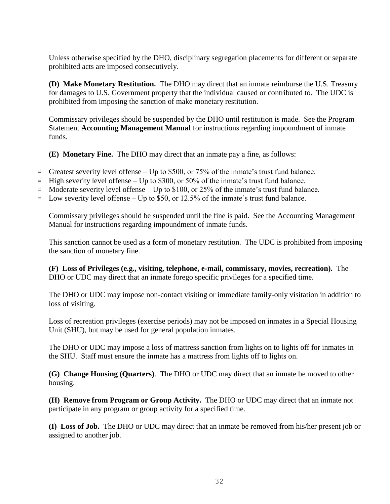Unless otherwise specified by the DHO, disciplinary segregation placements for different or separate prohibited acts are imposed consecutively.

**(D) Make Monetary Restitution.** The DHO may direct that an inmate reimburse the U.S. Treasury for damages to U.S. Government property that the individual caused or contributed to. The UDC is prohibited from imposing the sanction of make monetary restitution.

Commissary privileges should be suspended by the DHO until restitution is made. See the Program Statement **Accounting Management Manual** for instructions regarding impoundment of inmate funds.

**(E) Monetary Fine.** The DHO may direct that an inmate pay a fine, as follows:

- # Greatest severity level offense Up to \$500, or 75% of the inmate's trust fund balance.
- # High severity level offense Up to \$300, or 50% of the inmate's trust fund balance.
- # Moderate severity level offense Up to \$100, or 25% of the inmate's trust fund balance.
- # Low severity level offense Up to \$50, or 12.5% of the inmate's trust fund balance.

Commissary privileges should be suspended until the fine is paid. See the Accounting Management Manual for instructions regarding impoundment of inmate funds.

This sanction cannot be used as a form of monetary restitution. The UDC is prohibited from imposing the sanction of monetary fine.

**(F) Loss of Privileges (e.g., visiting, telephone, e-mail, commissary, movies, recreation).** The DHO or UDC may direct that an inmate forego specific privileges for a specified time.

The DHO or UDC may impose non-contact visiting or immediate family-only visitation in addition to loss of visiting.

Loss of recreation privileges (exercise periods) may not be imposed on inmates in a Special Housing Unit (SHU), but may be used for general population inmates.

The DHO or UDC may impose a loss of mattress sanction from lights on to lights off for inmates in the SHU. Staff must ensure the inmate has a mattress from lights off to lights on.

**(G) Change Housing (Quarters)**. The DHO or UDC may direct that an inmate be moved to other housing.

**(H) Remove from Program or Group Activity.** The DHO or UDC may direct that an inmate not participate in any program or group activity for a specified time.

**(I) Loss of Job.** The DHO or UDC may direct that an inmate be removed from his/her present job or assigned to another job.